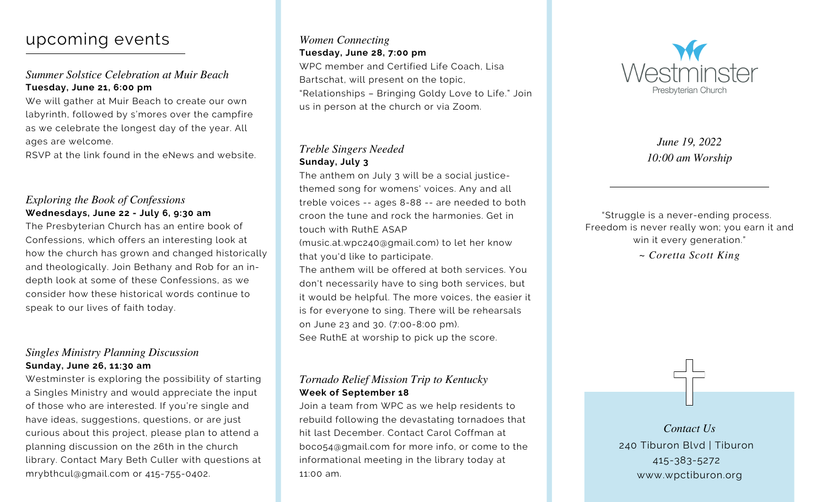## upcoming events

#### *Summer Solstice Celebration at Muir Beach* **Tuesday, June 21, 6:00 pm**

We will gather at Muir Beach to create our own labyrinth, followed by s'mores over the campfire as we celebrate the longest day of the year. All ages are welcome.

RSVP at the link found in the eNews and website.

#### *Exploring the Book of Confessions* **Wednesdays, June 22 - July 6, 9:30 am**

The Presbyterian Church has an entire book of Confessions, which offers an interesting look at how the church has grown and changed historically and theologically. Join Bethany and Rob for an indepth look at some of these Confessions, as we consider how these historical words continue to speak to our lives of faith today.

#### *Singles Ministry Planning Discussion* **Sunday, June 26, 11:30 am**

Westminster is exploring the possibility of starting a Singles Ministry and would appreciate the input of those who are interested. If you're single and have ideas, suggestions, questions, or are just curious about this project, please plan to attend a planning discussion on the 26th in the church library. Contact Mary Beth Culler with questions at [mrybthcul@gmail.com](mailto:mrybthcul@gmail.com) or 415-755-0402.

#### *Women Connecting* **Tuesday, June 28, 7:00 pm** WPC member and Certified Life Coach, Lisa

Bartschat, will present on the topic, "Relationships – Bringing Goldy Love to Life." Join us in person at the church or via Zoom.

#### *Treble Singers Needed* **Sunday, July 3**

The anthem on July 3 will be a social justicethemed song for womens' voices. Any and all treble voices -- ages 8-88 -- are needed to both croon the tune and rock the harmonies. Get in touch with RuthE ASAP

([music.at.wpc240@gmail.com](mailto:music.at.wpc240@gmail.com)) to let her know that you'd like to participate.

The anthem will be offered at both services. You don't necessarily have to sing both services, but it would be helpful. The more voices, the easier it is for everyone to sing. There will be rehearsals on June 23 and 30. (7:00-8:00 pm). See RuthE at worship to pick up the score.

#### *Tornado Relief Mission Trip to Kentucky* **Week of September 18**

Join a team from WPC as we help residents to rebuild following the devastating tornadoes that hit last December. Contact Carol Coffman at [boco54@gmail.com](mailto:boco54@gmail.com) for more info, or come to the informational meeting in the library today at 11:00 am.



*June 19, 2022 10:00 am Worship*

"Struggle is a never-ending process. Freedom is never really won; you earn it and win it every generation."

*~ Coretta Scott King*

240 Tiburon Blvd | Tiburon 415-383-5272 www.wpctiburon.org *Contact Us*